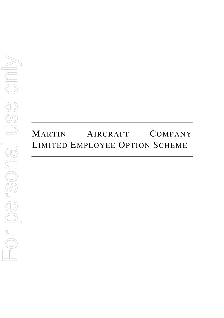# MARTIN AIRCRAFT COMPANY LIMITED EMPLOYEE OPTION SCHEME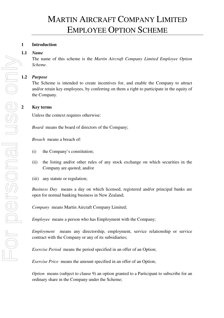# **1 Introduction**

## **1.1** *Name*

The name of this scheme is the *Martin Aircraft Company Limited Employee Option Scheme*.

# **1.2** *Purpose*

The Scheme is intended to create incentives for, and enable the Company to attract and/or retain key employees, by conferring on them a right to participate in the equity of the Company.

# **2 Key terms**

Unless the context requires otherwise:

*Board* means the board of directors of the Company;

*Breach* means a breach of:

- (i) the Company's constitution;
- (ii) the listing and/or other rules of any stock exchange on which securities in the Company are quoted; and/or
- (iii) any statute or regulation;

*Business Day* means a day on which licensed, registered and/or principal banks are open for normal banking business in New Zealand;

*Company* means Martin Aircraft Company Limited;

*Employee* means a person who has Employment with the Company;

*Employment* means any directorship, employment, service relationship or service contract with the Company or any of its subsidiaries;

*Exercise Period* means the period specified in an offer of an Option;

*Exercise Price* means the amount specified in an offer of an Option;

*Option* means (subject to clause 9) an option granted to a Participant to subscribe for an ordinary share in the Company under the Scheme;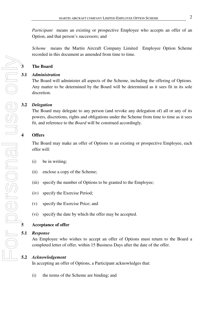*Participant* means an existing or prospective Employee who accepts an offer of an Option, and that person's successors; and

*Scheme* means the Martin Aircraft Company Limited Employee Option Scheme recorded in this document as amended from time to time.

# **3 The Board**

# **3.1** *Administration*

The Board will administer all aspects of the Scheme, including the offering of Options. Any matter to be determined by the Board will be determined as it sees fit in its sole discretion.

# **3.2** *Delegation*

The Board may delegate to any person (and revoke any delegation of) all or any of its powers, discretions, rights and obligations under the Scheme from time to time as it sees fit, and reference to the *Board* will be construed accordingly.

# **4 Offers**

The Board may make an offer of Options to an existing or prospective Employee, each offer will:

- (i) be in writing;
- (ii) enclose a copy of the Scheme;
- (iii) specify the number of Options to be granted to the Employee;
- (iv) specify the Exercise Period;
- (v) specify the Exercise Price; and
- (vi) specify the date by which the offer may be accepted.

## **5 Acceptance of offer**

## **5.1** *Response*

An Employee who wishes to accept an offer of Options must return to the Board a completed letter of offer, within 15 Business Days after the date of the offer.

# **5.2** *Acknowledgement*

In accepting an offer of Options, a Participant acknowledges that:

(i) the terms of the Scheme are binding; and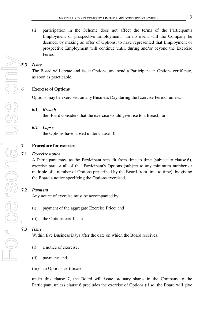(ii) participation in the Scheme does not affect the terms of the Participant's Employment or prospective Employment. In no event will the Company be deemed, by making an offer of Options, to have represented that Employment or prospective Employment will continue until, during and/or beyond the Exercise Period.

## **5.3** *Issue*

The Board will create and issue Options, and send a Participant an Options certificate, as soon as practicable.

#### **6 Exercise of Options**

Options may be exercised on any Business Day during the Exercise Period, unless:

#### **6.1** *Breach*

the Board considers that the exercise would give rise to a Breach; or

#### **6.2** *Lapse*

the Options have lapsed under clause 10.

#### **7 Procedure for exercise**

#### **7.1** *Exercise notice*

A Participant may, as the Participant sees fit from time to time (subject to clause 6), exercise part or all of that Participant's Options (subject to any minimum number or multiple of a number of Options prescribed by the Board from time to time), by giving the Board a notice specifying the Options exercised.

## **7.2** *Payment*

Any notice of exercise must be accompanied by:

- (i) payment of the aggregate Exercise Price; and
- (ii) the Options certificate.

#### **7.3** *Issue*

Within five Business Days after the date on which the Board receives:

- (i) a notice of exercise;
- (ii) payment; and
- (iii) an Options certificate,

under this clause 7, the Board will issue ordinary shares in the Company to the Participant, unless clause 6 precludes the exercise of Options (if so, the Board will give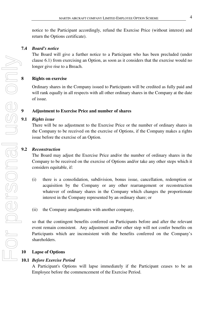notice to the Participant accordingly, refund the Exercise Price (without interest) and return the Options certificate).

## **7.4** *Board's notice*

The Board will give a further notice to a Participant who has been precluded (under clause 6.1) from exercising an Option, as soon as it considers that the exercise would no longer give rise to a Breach.

# **8 Rights on exercise**

Ordinary shares in the Company issued to Participants will be credited as fully paid and will rank equally in all respects with all other ordinary shares in the Company at the date of issue.

# **9 Adjustment to Exercise Price and number of shares**

# **9.1** *Rights issue*

There will be no adjustment to the Exercise Price or the number of ordinary shares in the Company to be received on the exercise of Options, if the Company makes a rights issue before the exercise of an Option.

# **9.2** *Reconstruction*

The Board may adjust the Exercise Price and/or the number of ordinary shares in the Company to be received on the exercise of Options and/or take any other steps which it considers equitable, if:

- (i) there is a consolidation, subdivision, bonus issue, cancellation, redemption or acquisition by the Company or any other rearrangement or reconstruction whatever of ordinary shares in the Company which changes the proportionate interest in the Company represented by an ordinary share; or
- (ii) the Company amalgamates with another company,

so that the contingent benefits conferred on Participants before and after the relevant event remain consistent. Any adjustment and/or other step will not confer benefits on Participants which are inconsistent with the benefits conferred on the Company's shareholders.

# **10 Lapse of Options**

# **10.1** *Before Exercise Period*

A Participant's Options will lapse immediately if the Participant ceases to be an Employee before the commencement of the Exercise Period.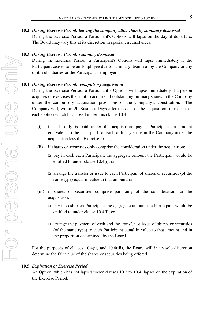#### **10.2** *During Exercise Period: leaving the company other than by summary dismissal*

During the Exercise Period, a Participant's Options will lapse on the day of departure. The Board may vary this at its discretion in special circumstances.

#### **10.3** *During Exercise Period: summary dismissal*

During the Exercise Period, a Participant's Options will lapse immediately if the Participant ceases to be an Employee due to summary dismissal by the Company or any of its subsidiaries or the Participant's employer.

#### **10.4** *During Exercise Period: compulsory acquisition*

During the Exercise Period, a Participant's Options will lapse immediately if a person acquires or exercises the right to acquire all outstanding ordinary shares in the Company under the compulsory acquisition provisions of the Company's constitution. The Company will, within 20 Business Days after the date of the acquisition, in respect of each Option which has lapsed under this clause 10.4:

- (i) if cash only is paid under the acquisition, pay a Participant an amount equivalent to the cash paid for each ordinary share in the Company under the acquisition less the Exercise Price;
- (ii) if shares or securities only comprise the consideration under the acquisition:
	- pay in cash each Participant the aggregate amount the Participant would be entitled to under clause 10.4(i); or
	- arrange the transfer or issue to each Participant of shares or securities (of the same type) equal in value to that amount; or
- (iii) if shares or securities comprise part only of the consideration for the acquisition:
	- pay in cash each Participant the aggregate amount the Participant would be entitled to under clause 10.4(i); or
	- arrange the payment of cash and the transfer or issue of shares or securities (of the same type) to each Participant equal in value to that amount and in the proportion determined by the Board.

For the purposes of clauses 10.4(ii) and 10.4(iii), the Board will in its sole discretion determine the fair value of the shares or securities being offered.

#### **10.5** *Expiration of Exercise Period*

An Option, which has not lapsed under clauses 10.2 to 10.4, lapses on the expiration of the Exercise Period.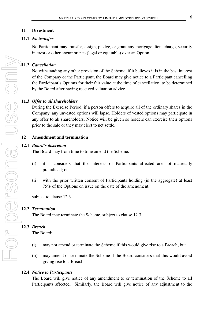## **11 Divestment**

## **11.1** *No transfer*

No Participant may transfer, assign, pledge, or grant any mortgage, lien, charge, security interest or other encumbrance (legal or equitable) over an Option.

## **11.2** *Cancellation*

Notwithstanding any other provision of the Scheme, if it believes it is in the best interest of the Company or the Participant, the Board may give notice to a Participant cancelling the Participant's Options for their fair value at the time of cancellation, to be determined by the Board after having received valuation advice.

## **11.3** *Offer to all shareholders*

During the Exercise Period, if a person offers to acquire all of the ordinary shares in the Company, any unvested options will lapse. Holders of vested options may participate in any offer to all shareholders. Notice will be given so holders can exercise their options prior to the sale or they may elect to net settle.

## **12 Amendment and termination**

#### **12.1** *Board's discretion*

The Board may from time to time amend the Scheme:

- (i) if it considers that the interests of Participants affected are not materially prejudiced; or
- (ii) with the prior written consent of Participants holding (in the aggregate) at least 75% of the Options on issue on the date of the amendment,

subject to clause 12.3.

## **12.2** *Termination*

The Board may terminate the Scheme, subject to clause 12.3.

#### **12.3** *Breach*

The Board:

- (i) may not amend or terminate the Scheme if this would give rise to a Breach; but
- (ii) may amend or terminate the Scheme if the Board considers that this would avoid giving rise to a Breach.

#### **12.4** *Notice to Participants*

The Board will give notice of any amendment to or termination of the Scheme to all Participants affected. Similarly, the Board will give notice of any adjustment to the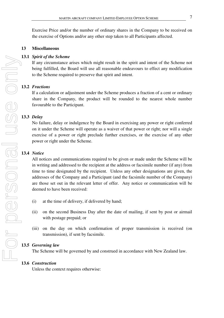Exercise Price and/or the number of ordinary shares in the Company to be received on the exercise of Options and/or any other step taken to all Participants affected.

## **13 Miscellaneous**

## **13.1** *Spirit of the Scheme*

If any circumstance arises which might result in the spirit and intent of the Scheme not being fulfilled, the Board will use all reasonable endeavours to effect any modification to the Scheme required to preserve that spirit and intent.

## **13.2** *Fractions*

If a calculation or adjustment under the Scheme produces a fraction of a cent or ordinary share in the Company, the product will be rounded to the nearest whole number favourable to the Participant.

## **13.3** *Delay*

No failure, delay or indulgence by the Board in exercising any power or right conferred on it under the Scheme will operate as a waiver of that power or right; nor will a single exercise of a power or right preclude further exercises, or the exercise of any other power or right under the Scheme.

## **13.4** *Notice*

All notices and communications required to be given or made under the Scheme will be in writing and addressed to the recipient at the address or facsimile number (if any) from time to time designated by the recipient. Unless any other designations are given, the addresses of the Company and a Participant (and the facsimile number of the Company) are those set out in the relevant letter of offer. Any notice or communication will be deemed to have been received:

- (i) at the time of delivery, if delivered by hand;
- (ii) on the second Business Day after the date of mailing, if sent by post or airmail with postage prepaid; or
- (iii) on the day on which confirmation of proper transmission is received (on transmission), if sent by facsimile.

#### **13.5** *Governing law*

The Scheme will be governed by and construed in accordance with New Zealand law.

#### **13.6** *Construction*

Unless the context requires otherwise: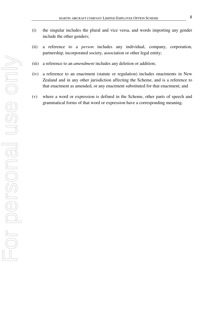- (i) the singular includes the plural and vice versa, and words importing any gender include the other genders;
- (ii) a reference to a *person* includes any individual, company, corporation, partnership, incorporated society, association or other legal entity;
- (iii) a reference to an *amendment* includes any deletion or addition;
- (iv) a reference to an enactment (statute or regulation) includes enactments in New Zealand and in any other jurisdiction affecting the Scheme, and is a reference to that enactment as amended, or any enactment substituted for that enactment; and
- (v) where a word or expression is defined in the Scheme, other parts of speech and grammatical forms of that word or expression have a corresponding meaning.